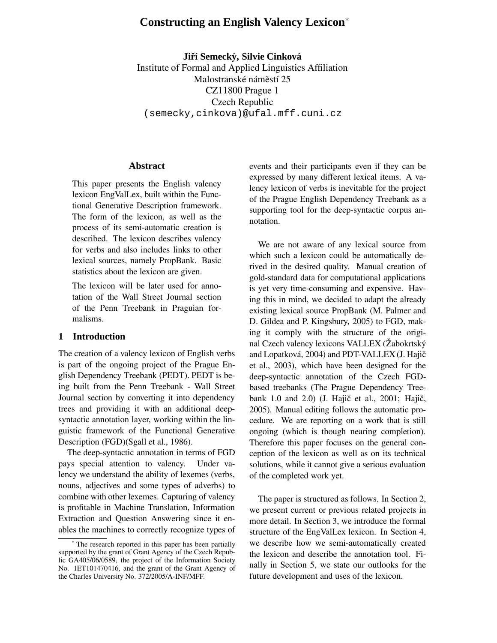# **Constructing an English Valency Lexicon**<sup>∗</sup>

**Jirˇ´ı Semecky, ´ Silvie Cinkova´** Institute of Formal and Applied Linguistics Affiliation Malostranské náměstí 25 CZ11800 Prague 1 Czech Republic (semecky,cinkova)@ufal.mff.cuni.cz

#### **Abstract**

This paper presents the English valency lexicon EngValLex, built within the Functional Generative Description framework. The form of the lexicon, as well as the process of its semi-automatic creation is described. The lexicon describes valency for verbs and also includes links to other lexical sources, namely PropBank. Basic statistics about the lexicon are given.

The lexicon will be later used for annotation of the Wall Street Journal section of the Penn Treebank in Praguian formalisms.

### **1 Introduction**

The creation of a valency lexicon of English verbs is part of the ongoing project of the Prague English Dependency Treebank (PEDT). PEDT is being built from the Penn Treebank - Wall Street Journal section by converting it into dependency trees and providing it with an additional deepsyntactic annotation layer, working within the linguistic framework of the Functional Generative Description (FGD)(Sgall et al., 1986).

The deep-syntactic annotation in terms of FGD pays special attention to valency. Under valency we understand the ability of lexemes (verbs, nouns, adjectives and some types of adverbs) to combine with other lexemes. Capturing of valency is profitable in Machine Translation, Information Extraction and Question Answering since it enables the machines to correctly recognize types of events and their participants even if they can be expressed by many different lexical items. A valency lexicon of verbs is inevitable for the project of the Prague English Dependency Treebank as a supporting tool for the deep-syntactic corpus annotation.

We are not aware of any lexical source from which such a lexicon could be automatically derived in the desired quality. Manual creation of gold-standard data for computational applications is yet very time-consuming and expensive. Having this in mind, we decided to adapt the already existing lexical source PropBank (M. Palmer and D. Gildea and P. Kingsbury, 2005) to FGD, making it comply with the structure of the original Czech valency lexicons VALLEX (Žabokrtský and Lopatková, 2004) and PDT-VALLEX (J. Hajič et al., 2003), which have been designed for the deep-syntactic annotation of the Czech FGDbased treebanks (The Prague Dependency Treebank 1.0 and 2.0) (J. Hajič et al., 2001; Hajič, 2005). Manual editing follows the automatic procedure. We are reporting on a work that is still ongoing (which is though nearing completion). Therefore this paper focuses on the general conception of the lexicon as well as on its technical solutions, while it cannot give a serious evaluation of the completed work yet.

The paper is structured as follows. In Section 2, we present current or previous related projects in more detail. In Section 3, we introduce the formal structure of the EngValLex lexicon. In Section 4, we describe how we semi-automatically created the lexicon and describe the annotation tool. Finally in Section 5, we state our outlooks for the future development and uses of the lexicon.

The research reported in this paper has been partially supported by the grant of Grant Agency of the Czech Republic GA405/06/0589, the project of the Information Society No. 1ET101470416, and the grant of the Grant Agency of the Charles University No. 372/2005/A-INF/MFF.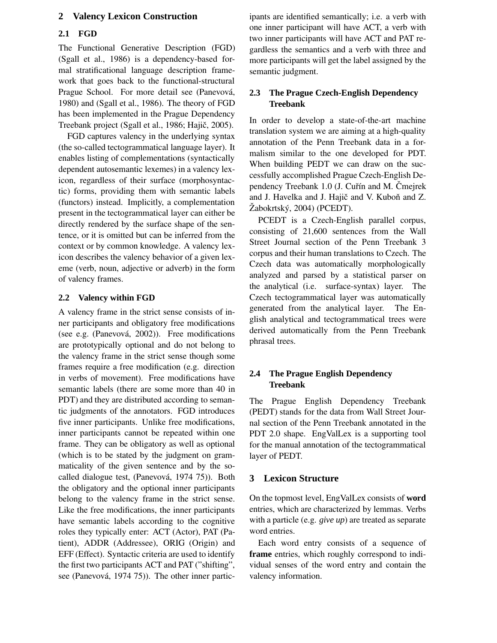## **2 Valency Lexicon Construction**

#### **2.1 FGD**

The Functional Generative Description (FGD) (Sgall et al., 1986) is a dependency-based formal stratificational language description framework that goes back to the functional-structural Prague School. For more detail see (Panevová, 1980) and (Sgall et al., 1986). The theory of FGD has been implemented in the Prague Dependency Treebank project (Sgall et al., 1986; Hajič, 2005).

FGD captures valency in the underlying syntax (the so-called tectogrammatical language layer). It enables listing of complementations (syntactically dependent autosemantic lexemes) in a valency lexicon, regardless of their surface (morphosyntactic) forms, providing them with semantic labels (functors) instead. Implicitly, a complementation present in the tectogrammatical layer can either be directly rendered by the surface shape of the sentence, or it is omitted but can be inferred from the context or by common knowledge. A valency lexicon describes the valency behavior of a given lexeme (verb, noun, adjective or adverb) in the form of valency frames.

#### **2.2 Valency within FGD**

A valency frame in the strict sense consists of inner participants and obligatory free modifications (see e.g. (Panevová, 2002)). Free modifications are prototypically optional and do not belong to the valency frame in the strict sense though some frames require a free modification (e.g. direction in verbs of movement). Free modifications have semantic labels (there are some more than 40 in PDT) and they are distributed according to semantic judgments of the annotators. FGD introduces five inner participants. Unlike free modifications, inner participants cannot be repeated within one frame. They can be obligatory as well as optional (which is to be stated by the judgment on grammaticality of the given sentence and by the socalled dialogue test, (Panevová, 1974 75)). Both the obligatory and the optional inner participants belong to the valency frame in the strict sense. Like the free modifications, the inner participants have semantic labels according to the cognitive roles they typically enter: ACT (Actor), PAT (Patient), ADDR (Addressee), ORIG (Origin) and EFF (Effect). Syntactic criteria are used to identify the first two participants ACT and PAT ("shifting", see (Panevová, 1974 75)). The other inner participants are identified semantically; i.e. a verb with one inner participant will have ACT, a verb with two inner participants will have ACT and PAT regardless the semantics and a verb with three and more participants will get the label assigned by the semantic judgment.

## **2.3 The Prague Czech-English Dependency Treebank**

In order to develop a state-of-the-art machine translation system we are aiming at a high-quality annotation of the Penn Treebank data in a formalism similar to the one developed for PDT. When building PEDT we can draw on the successfully accomplished Prague Czech-English Dependency Treebank 1.0 (J. Cuřín and M. Čmejrek and J. Havelka and J. Hajič and V. Kuboň and Z. Žabokrtský, 2004) (PCEDT).

PCEDT is a Czech-English parallel corpus, consisting of 21,600 sentences from the Wall Street Journal section of the Penn Treebank 3 corpus and their human translations to Czech. The Czech data was automatically morphologically analyzed and parsed by a statistical parser on the analytical (i.e. surface-syntax) layer. The Czech tectogrammatical layer was automatically generated from the analytical layer. The English analytical and tectogrammatical trees were derived automatically from the Penn Treebank phrasal trees.

# **2.4 The Prague English Dependency Treebank**

The Prague English Dependency Treebank (PEDT) stands for the data from Wall Street Journal section of the Penn Treebank annotated in the PDT 2.0 shape. EngValLex is a supporting tool for the manual annotation of the tectogrammatical layer of PEDT.

### **3 Lexicon Structure**

On the topmost level, EngValLex consists of **word** entries, which are characterized by lemmas. Verbs with a particle (e.g. *give up*) are treated as separate word entries.

Each word entry consists of a sequence of **frame** entries, which roughly correspond to individual senses of the word entry and contain the valency information.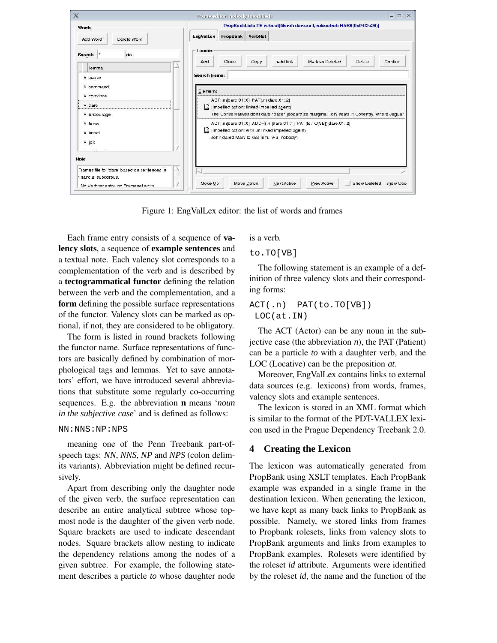

Figure 1: EngValLex editor: the list of words and frames

Each frame entry consists of a sequence of **valency slots**, a sequence of **example sentences** and a textual note. Each valency slot corresponds to a complementation of the verb and is described by a **tectogrammatical functor** defining the relation between the verb and the complementation, and a **form** defining the possible surface representations of the functor. Valency slots can be marked as optional, if not, they are considered to be obligatory.

The form is listed in round brackets following the functor name. Surface representations of functors are basically defined by combination of morphological tags and lemmas. Yet to save annotators' effort, we have introduced several abbreviations that substitute some regularly co-occurring sequences. E.g. the abbreviation **n** means '*noun in the subjective case*' and is defined as follows:

#### NN:NNS:NP:NPS

meaning one of the Penn Treebank part-ofspeech tags: *NN*, *NNS*, *NP* and *NPS* (colon delimits variants). Abbreviation might be defined recursively.

Apart from describing only the daughter node of the given verb, the surface representation can describe an entire analytical subtree whose topmost node is the daughter of the given verb node. Square brackets are used to indicate descendant nodes. Square brackets allow nesting to indicate the dependency relations among the nodes of a given subtree. For example, the following statement describes a particle *to* whose daughter node

is a verb.

to.TO[VB]

The following statement is an example of a definition of three valency slots and their corresponding forms:

ACT(.n) PAT(to.TO[VB]) LOC(at.IN)

The ACT (Actor) can be any noun in the subjective case (the abbreviation  $n$ ), the PAT (Patient) can be a particle *to* with a daughter verb, and the LOC (Locative) can be the preposition *at*.

Moreover, EngValLex contains links to external data sources (e.g. lexicons) from words, frames, valency slots and example sentences.

The lexicon is stored in an XML format which is similar to the format of the PDT-VALLEX lexicon used in the Prague Dependency Treebank 2.0.

### **4 Creating the Lexicon**

The lexicon was automatically generated from PropBank using XSLT templates. Each PropBank example was expanded in a single frame in the destination lexicon. When generating the lexicon, we have kept as many back links to PropBank as possible. Namely, we stored links from frames to Propbank rolesets, links from valency slots to PropBank arguments and links from examples to PropBank examples. Rolesets were identified by the roleset *id* attribute. Arguments were identified by the roleset *id*, the name and the function of the